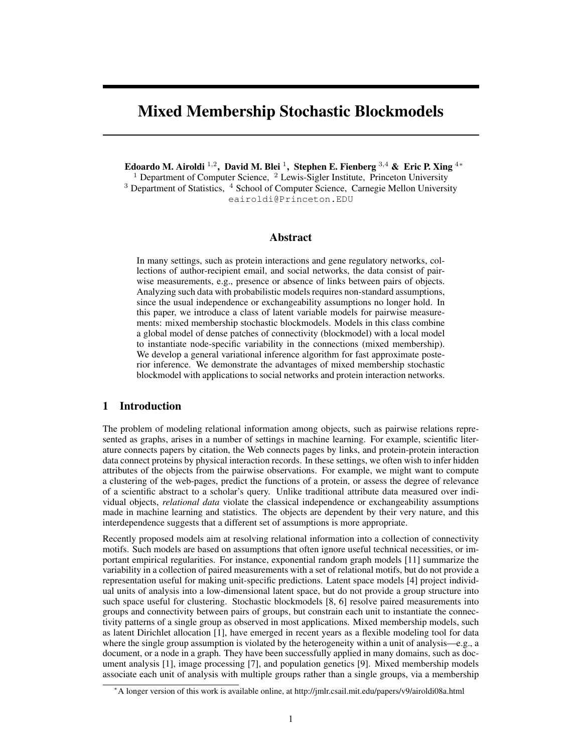# Mixed Membership Stochastic Blockmodels

Edoardo M. Airoldi  $^{1,2}$ , David M. Blei  $^1$ , Stephen E. Fienberg  $^{3,4}$  & Eric P. Xing  $^{4\ast}$ <sup>1</sup> Department of Computer Science,  $\frac{2}{3}$  Lewis-Sigler Institute, Princeton University <sup>3</sup> Department of Statistics, <sup>4</sup> School of Computer Science, Carnegie Mellon University eairoldi@Princeton.EDU

## Abstract

In many settings, such as protein interactions and gene regulatory networks, collections of author-recipient email, and social networks, the data consist of pairwise measurements, e.g., presence or absence of links between pairs of objects. Analyzing such data with probabilistic models requires non-standard assumptions, since the usual independence or exchangeability assumptions no longer hold. In this paper, we introduce a class of latent variable models for pairwise measurements: mixed membership stochastic blockmodels. Models in this class combine a global model of dense patches of connectivity (blockmodel) with a local model to instantiate node-specific variability in the connections (mixed membership). We develop a general variational inference algorithm for fast approximate posterior inference. We demonstrate the advantages of mixed membership stochastic blockmodel with applications to social networks and protein interaction networks.

# 1 Introduction

The problem of modeling relational information among objects, such as pairwise relations represented as graphs, arises in a number of settings in machine learning. For example, scientific literature connects papers by citation, the Web connects pages by links, and protein-protein interaction data connect proteins by physical interaction records. In these settings, we often wish to infer hidden attributes of the objects from the pairwise observations. For example, we might want to compute a clustering of the web-pages, predict the functions of a protein, or assess the degree of relevance of a scientific abstract to a scholar's query. Unlike traditional attribute data measured over individual objects, *relational data* violate the classical independence or exchangeability assumptions made in machine learning and statistics. The objects are dependent by their very nature, and this interdependence suggests that a different set of assumptions is more appropriate.

Recently proposed models aim at resolving relational information into a collection of connectivity motifs. Such models are based on assumptions that often ignore useful technical necessities, or important empirical regularities. For instance, exponential random graph models [11] summarize the variability in a collection of paired measurements with a set of relational motifs, but do not provide a representation useful for making unit-specific predictions. Latent space models [4] project individual units of analysis into a low-dimensional latent space, but do not provide a group structure into such space useful for clustering. Stochastic blockmodels [8, 6] resolve paired measurements into groups and connectivity between pairs of groups, but constrain each unit to instantiate the connectivity patterns of a single group as observed in most applications. Mixed membership models, such as latent Dirichlet allocation [1], have emerged in recent years as a flexible modeling tool for data where the single group assumption is violated by the heterogeneity within a unit of analysis—e.g., a document, or a node in a graph. They have been successfully applied in many domains, such as document analysis [1], image processing [7], and population genetics [9]. Mixed membership models associate each unit of analysis with multiple groups rather than a single groups, via a membership

<sup>∗</sup>A longer version of this work is available online, at http://jmlr.csail.mit.edu/papers/v9/airoldi08a.html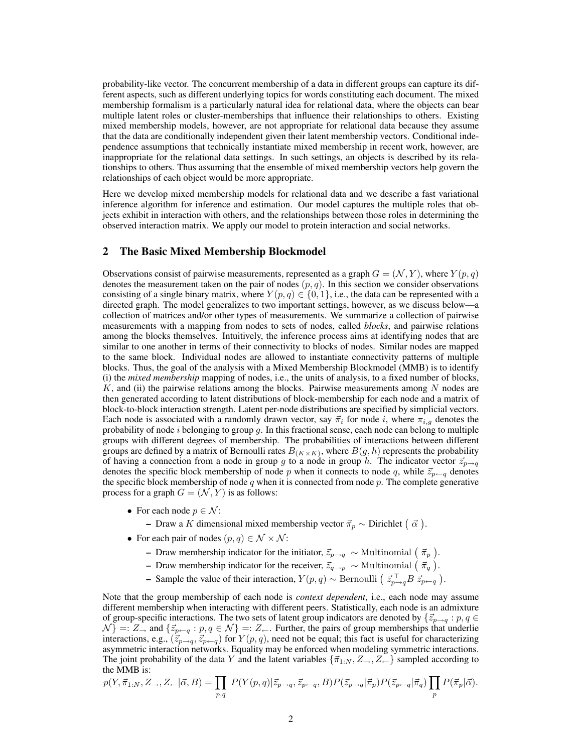probability-like vector. The concurrent membership of a data in different groups can capture its different aspects, such as different underlying topics for words constituting each document. The mixed membership formalism is a particularly natural idea for relational data, where the objects can bear multiple latent roles or cluster-memberships that influence their relationships to others. Existing mixed membership models, however, are not appropriate for relational data because they assume that the data are conditionally independent given their latent membership vectors. Conditional independence assumptions that technically instantiate mixed membership in recent work, however, are inappropriate for the relational data settings. In such settings, an objects is described by its relationships to others. Thus assuming that the ensemble of mixed membership vectors help govern the relationships of each object would be more appropriate.

Here we develop mixed membership models for relational data and we describe a fast variational inference algorithm for inference and estimation. Our model captures the multiple roles that objects exhibit in interaction with others, and the relationships between those roles in determining the observed interaction matrix. We apply our model to protein interaction and social networks.

## 2 The Basic Mixed Membership Blockmodel

Observations consist of pairwise measurements, represented as a graph  $G = (\mathcal{N}, Y)$ , where  $Y(p, q)$ denotes the measurement taken on the pair of nodes  $(p, q)$ . In this section we consider observations consisting of a single binary matrix, where  $Y(p, q) \in \{0, 1\}$ , i.e., the data can be represented with a directed graph. The model generalizes to two important settings, however, as we discuss below—a collection of matrices and/or other types of measurements. We summarize a collection of pairwise measurements with a mapping from nodes to sets of nodes, called *blocks*, and pairwise relations among the blocks themselves. Intuitively, the inference process aims at identifying nodes that are similar to one another in terms of their connectivity to blocks of nodes. Similar nodes are mapped to the same block. Individual nodes are allowed to instantiate connectivity patterns of multiple blocks. Thus, the goal of the analysis with a Mixed Membership Blockmodel (MMB) is to identify (i) the *mixed membership* mapping of nodes, i.e., the units of analysis, to a fixed number of blocks, K, and (ii) the pairwise relations among the blocks. Pairwise measurements among N nodes are then generated according to latent distributions of block-membership for each node and a matrix of block-to-block interaction strength. Latent per-node distributions are specified by simplicial vectors. Each node is associated with a randomly drawn vector, say  $\vec{\pi}_i$  for node i, where  $\pi_{i,g}$  denotes the probability of node  $i$  belonging to group  $g$ . In this fractional sense, each node can belong to multiple groups with different degrees of membership. The probabilities of interactions between different groups are defined by a matrix of Bernoulli rates  $B_{(K\times K)}$ , where  $B(g, h)$  represents the probability of having a connection from a node in group g to a node in group h. The indicator vector  $\vec{z}_{p\rightarrow q}$ denotes the specific block membership of node p when it connects to node q, while  $\vec{z}_{p\leftarrow q}$  denotes the specific block membership of node  $q$  when it is connected from node  $p$ . The complete generative process for a graph  $G = (\mathcal{N}, Y)$  is as follows:

- For each node  $p \in \mathcal{N}$ :
	- Draw a K dimensional mixed membership vector  $\vec{\pi}_p \sim$  Dirichlet  $(\vec{\alpha})$ .
- For each pair of nodes  $(p, q) \in \mathcal{N} \times \mathcal{N}$ :
	- Draw membership indicator for the initiator,  $\vec{z}_{p\to q} \sim$  Multinomial  $(\vec{\pi}_p)$ .
	- Draw membership indicator for the receiver,  $\vec{z}_{q \to p} \sim$  Multinomial  $(\vec{\pi}_q)$ .
	- Sample the value of their interaction,  $Y(p,q) \sim \text{Bernoulli} \left( \vec{z}_{p\rightarrow q}^{\top} B \vec{z}_{p\leftarrow q} \right)$ .

Note that the group membership of each node is *context dependent*, i.e., each node may assume different membership when interacting with different peers. Statistically, each node is an admixture of group-specific interactions. The two sets of latent group indicators are denoted by  $\{\vec{z}_{p\to q} : p, q \in$  $\mathcal{N}$ } =:  $Z_{\rightarrow}$  and  $\{\vec{z}_{p\leftarrow q} : p, q \in \mathcal{N}\}$  =:  $Z_{\leftarrow}$ . Further, the pairs of group memberships that underlie interactions, e.g.,  $(\vec{z}_{p\to q}, \vec{z}_{p\leftarrow q})$  for  $Y(p, q)$ , need not be equal; this fact is useful for characterizing asymmetric interaction networks. Equality may be enforced when modeling symmetric interactions. The joint probability of the data Y and the latent variables  $\{\vec{\pi}_{1:N}, Z_{\rightarrow}, Z_{\leftarrow}\}\$  sampled according to the MMB is:

$$
p(Y, \vec{\pi}_{1:N}, Z_{\rightarrow}, Z_{\leftarrow} | \vec{\alpha}, B) = \prod_{p,q} P(Y(p,q) | \vec{z}_{p \rightarrow q}, \vec{z}_{p \leftarrow q}, B) P(\vec{z}_{p \rightarrow q} | \vec{\pi}_p) P(\vec{z}_{p \leftarrow q} | \vec{\pi}_q) \prod_p P(\vec{\pi}_p | \vec{\alpha}).
$$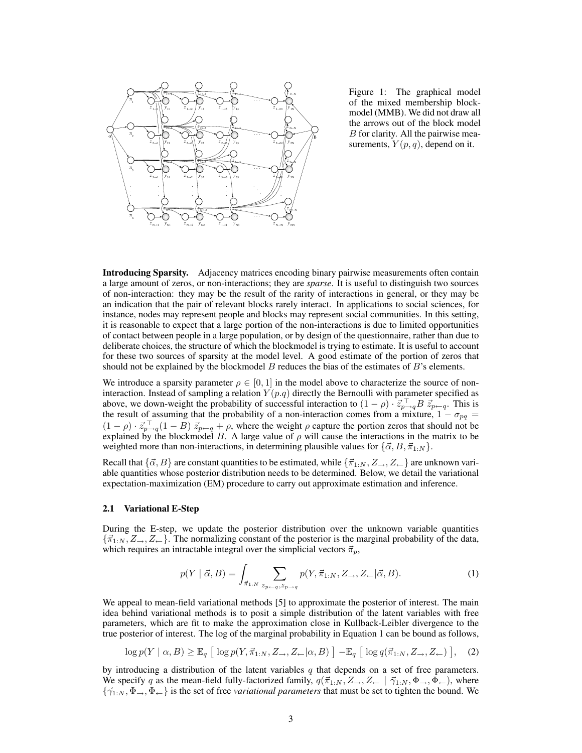

Figure 1: The graphical model of the mixed membership blockmodel (MMB). We did not draw all the arrows out of the block model B for clarity. All the pairwise measurements,  $Y(p, q)$ , depend on it.

Introducing Sparsity. Adjacency matrices encoding binary pairwise measurements often contain a large amount of zeros, or non- interactions; they are *sparse*. It is useful to distinguish two sources of non- interaction: they may be the result of the rarity of interactions in general, or they may be an indication that the pair of relevant blocks rarely interact. In applications to social sciences, for instance, nodes may represent people and blocks may represent social communities. In this setting, it is reasonable to expect that a large portion of the non- interactions is due to limited opportunities of contact between people in a large population, or by design of the questionnaire, rather than due to deliberate choices, the structure of which the blockmodel is trying to estimate. It is useful to account for these two sources of sparsity at the model level. A good estimate of the portion of zeros that should not be explained by the blockmodel  $B$  reduces the bias of the estimates of  $B$ 's elements.

We introduce a sparsity parameter  $\rho \in [0, 1]$  in the model above to characterize the source of noninteraction. Instead of sampling a relation  $Y(p,q)$  directly the Bernoulli with parameter specified as above, we down-weight the probability of successful interaction to  $(1 - \rho) \cdot \vec{z}_{p-q}^{\top} B \vec{z}_{p-q}$ . This is the result of assuming that the probability of a non-interaction comes from a mixture,  $1 - \sigma_{pq} =$  $(1 - \rho) \cdot \vec{z}_{p+q}^{\top} (1 - B) \vec{z}_{p+q} + \rho$ , where the weight  $\rho$  capture the portion zeros that should not be explained by the blockmodel B. A large value of  $\rho$  will cause the interactions in the matrix to be weighted more than non-interactions, in determining plausible values for  $\{\vec{\alpha}, B, \vec{\pi}_{1:N}\}.$ 

Recall that  $\{\vec{\alpha}, B\}$  are constant quantities to be estimated, while  $\{\vec{\pi}_{1:N}, Z \rightarrow, Z \leftarrow\}$  are unknown variable quantities whose posterior distribution needs to be determined. Below, we detail the variational expectation- maximization (EM) procedure to carry out approximate estimation and inference.

#### 2.1 Variational E-Step

During the E-step, we update the posterior distribution over the unknown variable quantities  $\{\vec{\pi}_{1:N}, Z_{\rightarrow}, Z_{\leftarrow}\}.$  The normalizing constant of the posterior is the marginal probability of the data, which requires an intractable integral over the simplicial vectors  $\vec{\pi}_p$ ,

$$
p(Y \mid \vec{\alpha}, B) = \int_{\vec{\pi}_{1:N}} \sum_{z_{p-q}, z_{p\to q}} p(Y, \vec{\pi}_{1:N}, Z_{\to}, Z_{\leftarrow} | \vec{\alpha}, B). \tag{1}
$$

We appeal to mean-field variational methods [5] to approximate the posterior of interest. The main idea behind variational methods is to posit a simple distribution of the latent variables with free parameters, which are fit to make the approximation close in Kullback- Leibler divergence to the true posterior of interest. The log of the marginal probability in Equation 1 can be bound as follows,

$$
\log p(Y \mid \alpha, B) \ge \mathbb{E}_q \left[ \log p(Y, \vec{\pi}_{1:N}, Z_{\rightarrow}, Z_{\leftarrow} | \alpha, B) \right] - \mathbb{E}_q \left[ \log q(\vec{\pi}_{1:N}, Z_{\rightarrow}, Z_{\leftarrow}) \right], \quad (2)
$$

by introducing a distribution of the latent variables  $q$  that depends on a set of free parameters. We specify q as the mean-field fully-factorized family,  $q(\vec{\pi}_{1:N}, Z_{\rightarrow}, Z_{\leftarrow} | \vec{\gamma}_{1:N}, \Phi_{\rightarrow}, \Phi_{\leftarrow})$ , where  $\{\vec{\gamma}_1, N, \Phi_-, \Phi_+\}$  is the set of free *variational parameters* that must be set to tighten the bound. We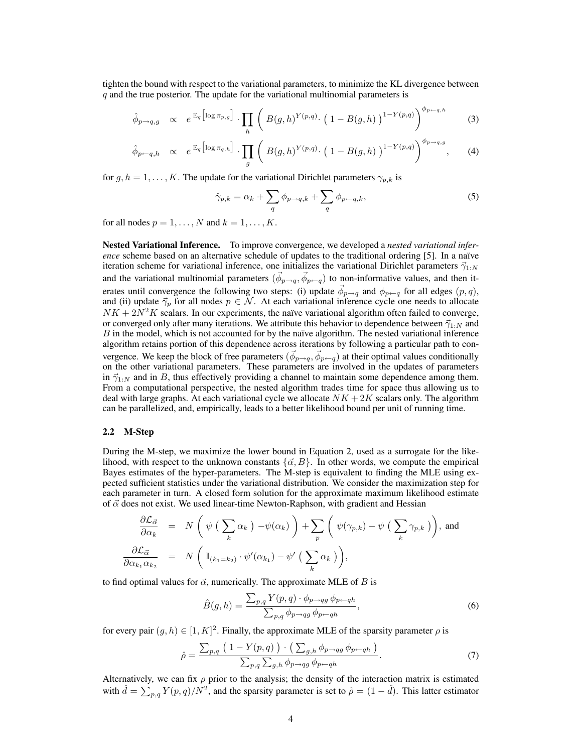tighten the bound with respect to the variational parameters, to minimize the KL divergence between  $q$  and the true posterior. The update for the variational multinomial parameters is

$$
\hat{\phi}_{p \to q,g} \propto e^{\mathbb{E}_q \left[ \log \pi_{p,g} \right]} \cdot \prod_h \left( B(g,h)^{Y(p,q)} \cdot \left( 1 - B(g,h) \right)^{1-Y(p,q)} \right)^{\phi_{p \gets q,h}} \tag{3}
$$

$$
\hat{\phi}_{p \leftarrow q, h} \propto e^{\mathbb{E}_q \left[ \log \pi_{q, h} \right]} \cdot \prod_g \left( B(g, h)^{Y(p, q)} \cdot \left( 1 - B(g, h) \right)^{1 - Y(p, q)} \right)^{\phi_{p \rightarrow q, g}}, \quad (4)
$$

for  $g, h = 1, \ldots, K$ . The update for the variational Dirichlet parameters  $\gamma_{p,k}$  is

$$
\hat{\gamma}_{p,k} = \alpha_k + \sum_{q} \phi_{p \to q,k} + \sum_{q} \phi_{p \leftarrow q,k},\tag{5}
$$

for all nodes  $p = 1, \ldots, N$  and  $k = 1, \ldots, K$ .

Nested Variational Inference. To improve convergence, we developed a *nested variational inference* scheme based on an alternative schedule of updates to the traditional ordering [5]. In a naïve iteration scheme for variational inference, one initializes the variational Dirichlet parameters  $\vec{\gamma}_{1:N}$ and the variational multinomial parameters  $(\vec{\phi}_{p\to q}, \vec{\phi}_{p\leftarrow q})$  to non-informative values, and then iterates until convergence the following two steps: (i) update  $\vec{\phi}_{p\to q}$  and  $\phi_{p\leftarrow q}$  for all edges  $(p,q)$ , and (ii) update  $\vec{\gamma}_p$  for all nodes  $p \in \mathcal{N}$ . At each variational inference cycle one needs to allocate  $NK + 2N^2K$  scalars. In our experiments, the naïve variational algorithm often failed to converge, or converged only after many iterations. We attribute this behavior to dependence between  $\vec{\gamma}_{1:N}$  and  $B$  in the model, which is not accounted for by the naïve algorithm. The nested variational inference algorithm retains portion of this dependence across iterations by following a particular path to convergence. We keep the block of free parameters  $(\vec{\phi}_{p\to q}, \vec{\phi}_{p\leftarrow q})$  at their optimal values conditionally on the other variational parameters. These parameters are involved in the updates of parameters in  $\vec{\gamma}_{1:N}$  and in B, thus effectively providing a channel to maintain some dependence among them. From a computational perspective, the nested algorithm trades time for space thus allowing us to deal with large graphs. At each variational cycle we allocate  $NK + 2K$  scalars only. The algorithm can be parallelized, and, empirically, leads to a better likelihood bound per unit of running time.

#### 2.2 M-Step

During the M-step, we maximize the lower bound in Equation 2, used as a surrogate for the likelihood, with respect to the unknown constants  $\{\vec{\alpha}, B\}$ . In other words, we compute the empirical Bayes estimates of the hyper-parameters. The M-step is equivalent to finding the MLE using expected sufficient statistics under the variational distribution. We consider the maximization step for each parameter in turn. A closed form solution for the approximate maximum likelihood estimate of  $\vec{\alpha}$  does not exist. We used linear-time Newton-Raphson, with gradient and Hessian

$$
\frac{\partial \mathcal{L}_{\vec{\alpha}}}{\partial \alpha_k} = N \left( \psi \left( \sum_k \alpha_k \right) - \psi(\alpha_k) \right) + \sum_p \left( \psi(\gamma_{p,k}) - \psi \left( \sum_k \gamma_{p,k} \right) \right), \text{ and}
$$
\n
$$
\frac{\partial \mathcal{L}_{\vec{\alpha}}}{\partial \alpha_{k_1} \alpha_{k_2}} = N \left( \mathbb{I}_{(k_1 = k_2)} \cdot \psi'(\alpha_{k_1}) - \psi' \left( \sum_k \alpha_k \right) \right),
$$

to find optimal values for  $\vec{\alpha}$ , numerically. The approximate MLE of B is

$$
\hat{B}(g,h) = \frac{\sum_{p,q} Y(p,q) \cdot \phi_{p \to qg} \phi_{p \leftarrow qh}}{\sum_{p,q} \phi_{p \to qg} \phi_{p \leftarrow qh}},\tag{6}
$$

for every pair  $(g, h) \in [1, K]^2$ . Finally, the approximate MLE of the sparsity parameter  $\rho$  is

$$
\hat{\rho} = \frac{\sum_{p,q} \left( 1 - Y(p,q) \right) \cdot \left( \sum_{g,h} \phi_{p \to qg} \phi_{p \leftarrow qh} \right)}{\sum_{p,q} \sum_{g,h} \phi_{p \to qg} \phi_{p \leftarrow qh}}.
$$
\n(7)

Alternatively, we can fix  $\rho$  prior to the analysis; the density of the interaction matrix is estimated with  $\hat{d} = \sum_{p,q} Y(p,q)/N^2$ , and the sparsity parameter is set to  $\tilde{\rho} = (1 - \hat{d})$ . This latter estimator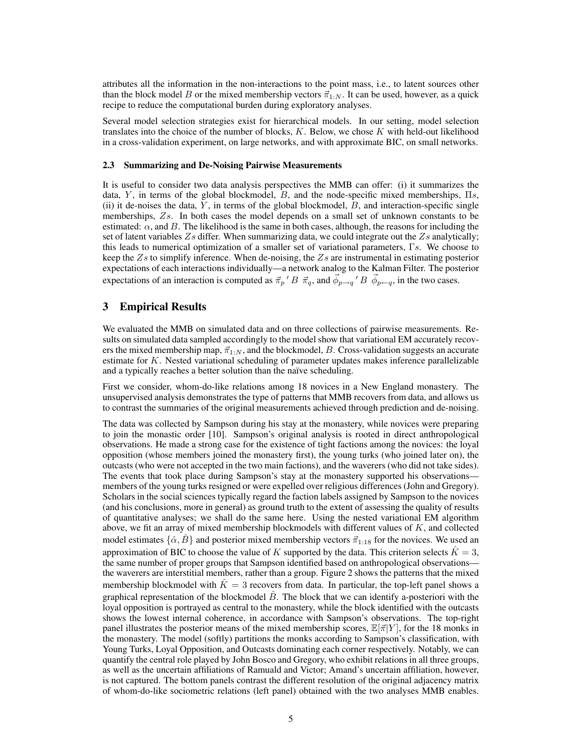attributes all the information in the non-interactions to the point mass, i.e., to latent sources other than the block model B or the mixed membership vectors  $\vec{\pi}_{1:N}$ . It can be used, however, as a quick recipe to reduce the computational burden during exploratory analyses.

Several model selection strategies exist for hierarchical models. In our setting, model selection translates into the choice of the number of blocks,  $K$ . Below, we chose  $K$  with held-out likelihood in a cross-validation experiment, on large networks, and with approximate BIC, on small networks.

#### 2.3 Summarizing and De-Noising Pairwise Measurements

It is useful to consider two data analysis perspectives the MMB can offer: (i) it summarizes the data, Y, in terms of the global blockmodel, B, and the node-specific mixed memberships,  $\Pi$ s, (ii) it de-noises the data,  $Y$ , in terms of the global blockmodel,  $B$ , and interaction-specific single memberships, Zs. In both cases the model depends on a small set of unknown constants to be estimated:  $\alpha$ , and B. The likelihood is the same in both cases, although, the reasons for including the set of latent variables  $Z_s$  differ. When summarizing data, we could integrate out the  $Z_s$  analytically; this leads to numerical optimization of a smaller set of variational parameters, Γs. We choose to keep the  $Z_s$  to simplify inference. When de-noising, the  $Z_s$  are instrumental in estimating posterior expectations of each interactions individually—a network analog to the Kalman Filter. The posterior expectations of an interaction is computed as  $\vec{\pi}_p$  ' B  $\vec{\pi}_q$ , and  $\vec{\phi}_{p\to q}$ ' B  $\vec{\phi}_{p\leftarrow q}$ , in the two cases.

# 3 Empirical Results

We evaluated the MMB on simulated data and on three collections of pairwise measurements. Results on simulated data sampled accordingly to the model show that variational EM accurately recovers the mixed membership map,  $\vec{\pi}_{1:N}$ , and the blockmodel, B. Cross-validation suggests an accurate estimate for  $K$ . Nested variational scheduling of parameter updates makes inference parallelizable and a typically reaches a better solution than the naïve scheduling.

First we consider, whom-do-like relations among 18 novices in a New England monastery. The unsupervised analysis demonstrates the type of patterns that MMB recovers from data, and allows us to contrast the summaries of the original measurements achieved through prediction and de-noising.

The data was collected by Sampson during his stay at the monastery, while novices were preparing to join the monastic order [10]. Sampson's original analysis is rooted in direct anthropological observations. He made a strong case for the existence of tight factions among the novices: the loyal opposition (whose members joined the monastery first), the young turks (who joined later on), the outcasts (who were not accepted in the two main factions), and the waverers (who did not take sides). The events that took place during Sampson's stay at the monastery supported his observations members of the young turks resigned or were expelled over religious differences (John and Gregory). Scholars in the social sciences typically regard the faction labels assigned by Sampson to the novices (and his conclusions, more in general) as ground truth to the extent of assessing the quality of results of quantitative analyses; we shall do the same here. Using the nested variational EM algorithm above, we fit an array of mixed membership blockmodels with different values of K, and collected model estimates  $\{\hat{\alpha}, B\}$  and posterior mixed membership vectors  $\vec{\pi}_{1:18}$  for the novices. We used an approximation of BIC to choose the value of K supported by the data. This criterion selects  $K = 3$ , the same number of proper groups that Sampson identified based on anthropological observations the waverers are interstitial members, rather than a group. Figure 2 shows the patterns that the mixed membership blockmodel with  $\tilde{K} = 3$  recovers from data. In particular, the top-left panel shows a graphical representation of the blockmodel  $\hat{B}$ . The block that we can identify a-posteriori with the loyal opposition is portrayed as central to the monastery, while the block identified with the outcasts shows the lowest internal coherence, in accordance with Sampson's observations. The top-right panel illustrates the posterior means of the mixed membership scores,  $\mathbb{E}[\vec{\pi}|Y]$ , for the 18 monks in the monastery. The model (softly) partitions the monks according to Sampson's classification, with Young Turks, Loyal Opposition, and Outcasts dominating each corner respectively. Notably, we can quantify the central role played by John Bosco and Gregory, who exhibit relations in all three groups, as well as the uncertain affiliations of Ramuald and Victor; Amand's uncertain affiliation, however, is not captured. The bottom panels contrast the different resolution of the original adjacency matrix of whom-do-like sociometric relations (left panel) obtained with the two analyses MMB enables.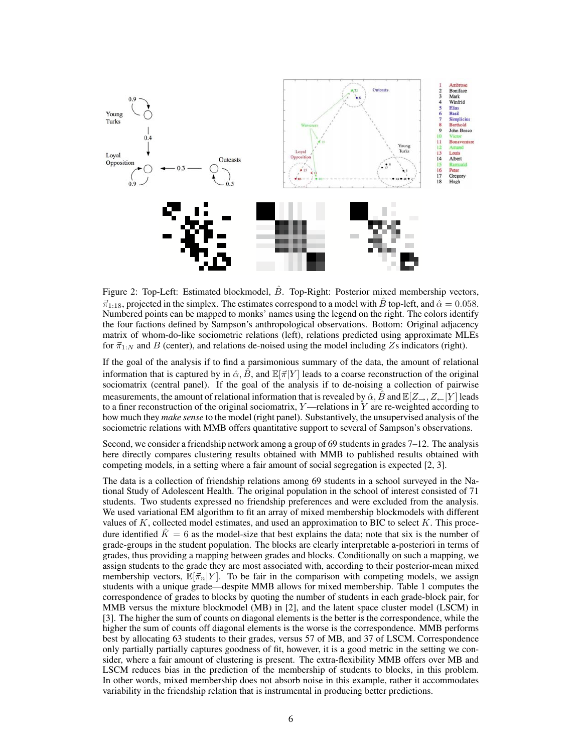

Figure 2: Top-Left: Estimated blockmodel,  $\ddot{B}$ . Top-Right: Posterior mixed membership vectors,  $\vec{\pi}_{1:18}$ , projected in the simplex. The estimates correspond to a model with  $\hat{B}$  top-left, and  $\hat{\alpha} = 0.058$ . Numbered points can be mapped to monks' names using the legend on the right. The colors identify the four factions defined by Sampson's anthropological observations. Bottom: Original adjacency matrix of whom-do-like sociometric relations (left), relations predicted using approximate MLEs for  $\vec{\pi}_{1:N}$  and B (center), and relations de-noised using the model including Zs indicators (right).

If the goal of the analysis if to find a parsimonious summary of the data, the amount of relational information that is captured by in  $\hat{\alpha}$ ,  $\hat{B}$ , and  $\mathbb{E}[\vec{\pi}|Y]$  leads to a coarse reconstruction of the original sociomatrix (central panel). If the goal of the analysis if to de-noising a collection of pairwise measurements, the amount of relational information that is revealed by  $\hat{\alpha}$ ,  $\hat{B}$  and  $\mathbb{E}[Z_{\rightarrow}, Z_{\leftarrow}|Y]$  leads to a finer reconstruction of the original sociomatrix,  $Y$ —relations in Y are re-weighted according to how much they *make sense* to the model (right panel). Substantively, the unsupervised analysis of the sociometric relations with MMB offers quantitative support to several of Sampson's observations.

Second, we consider a friendship network among a group of 69 students in grades 7–12. The analysis here directly compares clustering results obtained with MMB to published results obtained with competing models, in a setting where a fair amount of social segregation is expected [2, 3].

The data is a collection of friendship relations among 69 students in a school surveyed in the National Study of Adolescent Health. The original population in the school of interest consisted of 71 students. Two students expressed no friendship preferences and were excluded from the analysis. We used variational EM algorithm to fit an array of mixed membership blockmodels with different values of  $K$ , collected model estimates, and used an approximation to BIC to select  $K$ . This procedure identified  $\hat{K} = 6$  as the model-size that best explains the data; note that six is the number of grade- groups in the student population. The blocks are clearly interpretable a- posteriori in terms of grades, thus providing a mapping between grades and blocks. Conditionally on such a mapping, we assign students to the grade they are most associated with, according to their posterior- mean mixed membership vectors,  $\mathbb{E}[\vec{\pi}_n|Y]$ . To be fair in the comparison with competing models, we assign students with a unique grade—despite MMB allows for mixed membership. Table 1 computes the correspondence of grades to blocks by quoting the number of students in each grade- block pair, for MMB versus the mixture blockmodel (MB) in [2], and the latent space cluster model (LSCM) in [3]. The higher the sum of counts on diagonal elements is the better is the correspondence, while the higher the sum of counts off diagonal elements is the worse is the correspondence. MMB performs best by allocating 63 students to their grades, versus 57 of MB, and 37 of LSCM. Correspondence only partially partially captures goodness of fit, however, it is a good metric in the setting we consider, where a fair amount of clustering is present. The extra- flexibility MMB offers over MB and LSCM reduces bias in the prediction of the membership of students to blocks, in this problem. In other words, mixed membership does not absorb noise in this example, rather it accommodates variability in the friendship relation that is instrumental in producing better predictions.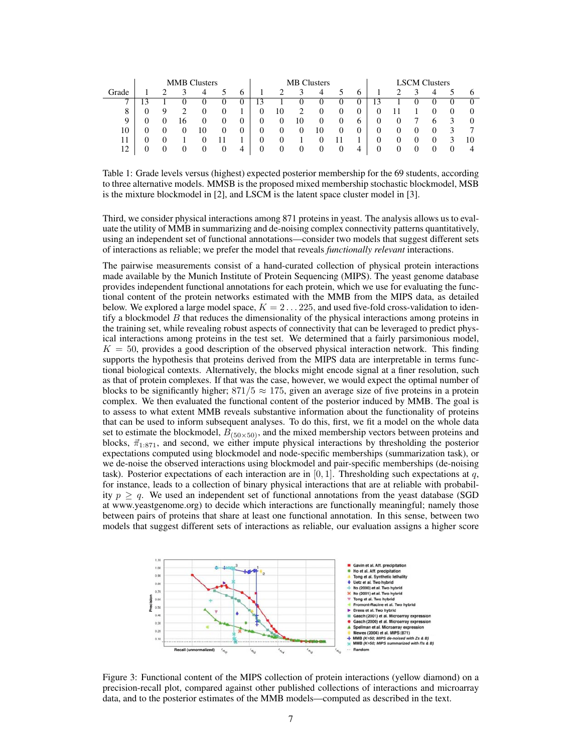|                | <b>MMB</b> Clusters |   |    |          |   |              | <b>MB</b> Clusters |                   |    |    |              |              | <b>LSCM</b> Clusters |  |   |          |          |          |
|----------------|---------------------|---|----|----------|---|--------------|--------------------|-------------------|----|----|--------------|--------------|----------------------|--|---|----------|----------|----------|
| Grade          |                     |   |    | 4        |   | <sub>0</sub> |                    | ↑                 | 3  | 4  |              | 6            |                      |  | κ | 4        |          | $\sigma$ |
| $\overline{ }$ | 3                   |   |    | $\theta$ | O | O            | 13                 |                   |    |    | O            | U            |                      |  |   | O        | $\theta$ | $\Omega$ |
| 8              |                     | Q |    | 0        |   |              | 0                  | 10                | ◠  |    |              | 0            |                      |  |   |          |          | $\theta$ |
| Q              |                     |   | 16 |          |   | 0            | 0                  | 0                 | 10 |    |              | <sub>6</sub> | $_{0}$               |  |   | O        | κ        | $\Omega$ |
| 10             |                     |   |    | 10       |   | 0            | 0                  | 0                 |    | 10 |              | U            |                      |  |   |          |          | −        |
| 11             |                     |   |    |          |   |              | 0                  |                   |    |    |              |              |                      |  |   | $\theta$ |          | 10       |
| 12             |                     |   |    |          |   | 4            | 0                  | $\mathbf{\Omega}$ |    |    | $\mathbf{U}$ | 4            |                      |  |   |          |          | 4        |

Table 1: Grade levels versus (highest) expected posterior membership for the 69 students, according to three alternative models. MMSB is the proposed mixed membership stochastic blockmodel, MSB is the mixture blockmodel in [2], and LSCM is the latent space cluster model in [3].

Third, we consider physical interactions among 871 proteins in yeast. The analysis allows us to evaluate the utility of MMB in summarizing and de-noising complex connectivity patterns quantitatively, using an independent set of functional annotations—consider two models that suggest different sets of interactions as reliable; we prefer the model that reveals *functionally relevant* interactions.

The pairwise measurements consist of a hand-curated collection of physical protein interactions made available by the Munich Institute of Protein Sequencing (MIPS). The yeast genome database provides independent functional annotations for each protein, which we use for evaluating the functional content of the protein networks estimated with the MMB from the MIPS data, as detailed below. We explored a large model space,  $K = 2 \dots 225$ , and used five-fold cross-validation to identify a blockmodel  $B$  that reduces the dimensionality of the physical interactions among proteins in the training set, while revealing robust aspects of connectivity that can be leveraged to predict physical interactions among proteins in the test set. We determined that a fairly parsimonious model,  $K = 50$ , provides a good description of the observed physical interaction network. This finding supports the hypothesis that proteins derived from the MIPS data are interpretable in terms functional biological contexts. Alternatively, the blocks might encode signal at a finer resolution, such as that of protein complexes. If that was the case, however, we would expect the optimal number of blocks to be significantly higher;  $871/5 \approx 175$ , given an average size of five proteins in a protein complex. We then evaluated the functional content of the posterior induced by MMB. The goal is to assess to what extent MMB reveals substantive information about the functionality of proteins that can be used to inform subsequent analyses. To do this, first, we fit a model on the whole data set to estimate the blockmodel,  $B_{(50\times50)}$ , and the mixed membership vectors between proteins and blocks,  $\vec{\pi}_{1:871}$ , and second, we either impute physical interactions by thresholding the posterior expectations computed using blockmodel and node-specific memberships (summarization task), or we de-noise the observed interactions using blockmodel and pair-specific memberships (de-noising task). Posterior expectations of each interaction are in [0, 1]. Thresholding such expectations at q, for instance, leads to a collection of binary physical interactions that are at reliable with probability  $p \ge q$ . We used an independent set of functional annotations from the yeast database (SGD) at www.yeastgenome.org) to decide which interactions are functionally meaningful; namely those between pairs of proteins that share at least one functional annotation. In this sense, between two models that suggest different sets of interactions as reliable, our evaluation assigns a higher score



Figure 3: Functional content of the MIPS collection of protein interactions (yellow diamond) on a precision-recall plot, compared against other published collections of interactions and microarray data, and to the posterior estimates of the MMB models—computed as described in the text.